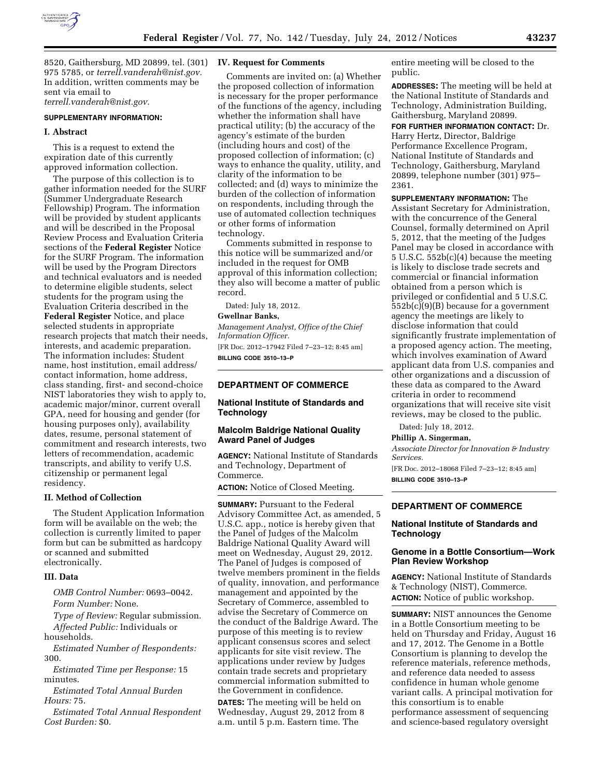

8520, Gaithersburg, MD 20899, tel. (301) 975 5785, or *[terrell.vanderah@nist.gov.](mailto:terrell.vanderah@nist.gov)*  In addition, written comments may be sent via email to *[terrell.vanderah@nist.gov.](mailto:terrell.vanderah@nist.gov)* 

#### **SUPPLEMENTARY INFORMATION:**

#### **I. Abstract**

This is a request to extend the expiration date of this currently approved information collection.

The purpose of this collection is to gather information needed for the SURF (Summer Undergraduate Research Fellowship) Program. The information will be provided by student applicants and will be described in the Proposal Review Process and Evaluation Criteria sections of the **Federal Register** Notice for the SURF Program. The information will be used by the Program Directors and technical evaluators and is needed to determine eligible students, select students for the program using the Evaluation Criteria described in the **Federal Register** Notice, and place selected students in appropriate research projects that match their needs, interests, and academic preparation. The information includes: Student name, host institution, email address/ contact information, home address, class standing, first- and second-choice NIST laboratories they wish to apply to, academic major/minor, current overall GPA, need for housing and gender (for housing purposes only), availability dates, resume, personal statement of commitment and research interests, two letters of recommendation, academic transcripts, and ability to verify U.S. citizenship or permanent legal residency.

#### **II. Method of Collection**

The Student Application Information form will be available on the web; the collection is currently limited to paper form but can be submitted as hardcopy or scanned and submitted electronically.

#### **III. Data**

*OMB Control Number:* 0693–0042. *Form Number:* None.

*Type of Review:* Regular submission. *Affected Public:* Individuals or households.

*Estimated Number of Respondents:*  300.

*Estimated Time per Response:* 15 minutes.

*Estimated Total Annual Burden Hours:* 75.

*Estimated Total Annual Respondent Cost Burden:* \$0.

#### **IV. Request for Comments**

Comments are invited on: (a) Whether the proposed collection of information is necessary for the proper performance of the functions of the agency, including whether the information shall have practical utility; (b) the accuracy of the agency's estimate of the burden (including hours and cost) of the proposed collection of information; (c) ways to enhance the quality, utility, and clarity of the information to be collected; and (d) ways to minimize the burden of the collection of information on respondents, including through the use of automated collection techniques or other forms of information technology.

Comments submitted in response to this notice will be summarized and/or included in the request for OMB approval of this information collection; they also will become a matter of public record.

Dated: July 18, 2012.

# **Gwellnar Banks,**

*Management Analyst, Office of the Chief Information Officer.* 

[FR Doc. 2012–17942 Filed 7–23–12; 8:45 am] **BILLING CODE 3510–13–P** 

# **DEPARTMENT OF COMMERCE**

# **National Institute of Standards and Technology**

## **Malcolm Baldrige National Quality Award Panel of Judges**

**AGENCY:** National Institute of Standards and Technology, Department of Commerce.

**ACTION:** Notice of Closed Meeting.

**SUMMARY: Pursuant to the Federal** Advisory Committee Act, as amended, 5 U.S.C. app., notice is hereby given that the Panel of Judges of the Malcolm Baldrige National Quality Award will meet on Wednesday, August 29, 2012. The Panel of Judges is composed of twelve members prominent in the fields of quality, innovation, and performance management and appointed by the Secretary of Commerce, assembled to advise the Secretary of Commerce on the conduct of the Baldrige Award. The purpose of this meeting is to review applicant consensus scores and select applicants for site visit review. The applications under review by Judges contain trade secrets and proprietary commercial information submitted to the Government in confidence.

**DATES:** The meeting will be held on Wednesday, August 29, 2012 from 8 a.m. until 5 p.m. Eastern time. The

entire meeting will be closed to the public.

**ADDRESSES:** The meeting will be held at the National Institute of Standards and Technology, Administration Building, Gaithersburg, Maryland 20899.

**FOR FURTHER INFORMATION CONTACT:** Dr. Harry Hertz, Director, Baldrige Performance Excellence Program, National Institute of Standards and Technology, Gaithersburg, Maryland 20899, telephone number (301) 975– 2361.

**SUPPLEMENTARY INFORMATION:** The Assistant Secretary for Administration, with the concurrence of the General Counsel, formally determined on April 5, 2012, that the meeting of the Judges Panel may be closed in accordance with 5 U.S.C. 552b(c)(4) because the meeting is likely to disclose trade secrets and commercial or financial information obtained from a person which is privileged or confidential and 5 U.S.C. 552b(c)(9)(B) because for a government agency the meetings are likely to disclose information that could significantly frustrate implementation of a proposed agency action. The meeting, which involves examination of Award applicant data from U.S. companies and other organizations and a discussion of these data as compared to the Award criteria in order to recommend organizations that will receive site visit reviews, may be closed to the public.

Dated: July 18, 2012.

## **Phillip A. Singerman,**

*Associate Director for Innovation & Industry Services.* 

[FR Doc. 2012–18068 Filed 7–23–12; 8:45 am] **BILLING CODE 3510–13–P** 

## **DEPARTMENT OF COMMERCE**

## **National Institute of Standards and Technology**

## **Genome in a Bottle Consortium—Work Plan Review Workshop**

**AGENCY:** National Institute of Standards & Technology (NIST), Commerce. **ACTION:** Notice of public workshop.

**SUMMARY:** NIST announces the Genome in a Bottle Consortium meeting to be held on Thursday and Friday, August 16 and 17, 2012. The Genome in a Bottle Consortium is planning to develop the reference materials, reference methods, and reference data needed to assess confidence in human whole genome variant calls. A principal motivation for this consortium is to enable performance assessment of sequencing and science-based regulatory oversight